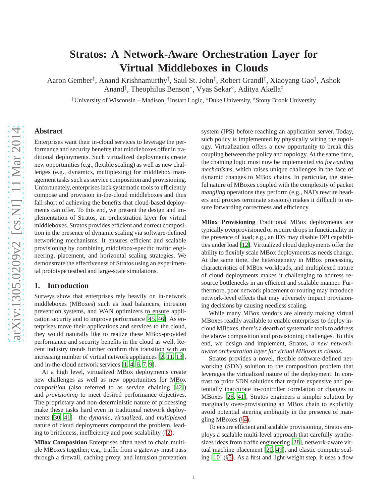# **Stratos: A Network-Aware Orchestration Layer for Virtual Middleboxes in Clouds**

Aaron Gember ‡ , Anand Krishnamurthy ‡ , Saul St. John ‡ , Robert Grandl ‡ , Xiaoyang Gao ‡ , Ashok Anand<sup>†</sup>, Theophilus Benson<sup>∗</sup>, Vyas Sekar°, Aditya Akella<sup>‡</sup>

‡University of Wisconsin – Madison, † Instart Logic, <sup>∗</sup>Duke University, ◦Stony Brook University

# **Abstract**

Enterprises want their in-cloud services to leverage the performance and security benefits that middleboxes offer in traditional deployments. Such virtualized deployments create new opportunities (e.g., flexible scaling) as well as new challenges (e.g., dynamics, multiplexing) for middlebox management tasks such as service composition and provisioning. Unfortunately, enterprises lack systematic tools to efficiently compose and provision in-the-cloud middleboxes and thus fall short of achieving the benefits that cloud-based deploy ments can offer. To this end, we present the design and implementation of Stratos, an orchestration layer for virtual middleboxes. Stratos provides efficient and correct composition in the presence of dynamic scaling via software-defined networking mechanisms. It ensures efficient and scalable provisioning by combining middlebox-specific traffic engineering, placement, and horizontal scaling strategies. We demonstrate the effectiveness of Stratos using an experimental prototype testbed and large-scale simulations.

# **1. Introduction**

Surveys show that enterprises rely heavily on in-network middleboxes (MBoxes) such as load balancers, intrusion prevention systems, and WAN optimizers to ensure application security and to improve performance [\[45,](#page-13-0) [46\]](#page-13-1). As enterprises move their applications and services to the cloud, they would naturally like to realize these MBox-provided performance and security benefits in the cloud as well. Recent industry trends further confirm this transition with an increasing number of virtual network appliances [\[2,](#page-12-0) [11,](#page-12-1) [13](#page-12-2)] , and in-the-cloud network services [\[1](#page-12-3), [4,](#page-12-4) [6,](#page-12-5) [7,](#page-12-6) [9\]](#page-12-7).

At a high level, virtualized MBox deployments create new challenges as well as new opportunities for MBox *composition* (also referred to as service chaining [\[42\]](#page-13-2)) and *provisioning* to meet desired performance objectives. The proprietary and non-deterministic nature of processin g make these tasks hard even in traditional network deployments [\[30,](#page-12-8) [41\]](#page-13-3)—the *dynamic*, *virtualized*, and *multiplexed* nature of cloud deployments compound the problem, leading to brittleness, inefficiency and poor scalability  $(\S 2)$  $(\S 2)$ .

**MBox Composition** Enterprises often need to chain multiple MBoxes together; e.g., traffic from a gateway must pass through a firewall, caching proxy, and intrusion prevention system (IPS) before reaching an application server. Today, such policy is implemented by physically wiring the topology. Virtualization offers a new opportunity to break this coupling between the policy and topology. At the same time, the chaining logic must now be implemented *via forwarding mechanisms*, which raises unique challenges in the face of dynamic changes to MBox chains. In particular, the stateful nature of MBoxes coupled with the complexity of packet *mangling* operations they perform (e.g., NATs rewrite headers and proxies terminate sessions) makes it difficult to ensure forwarding correctness and efficiency.

**MBox Provisioning** Traditional MBox deployments are typically overprovisioned or require drops in functionality in the presence of load; e.g., an IDS may disable DPI capabilities under load [\[12\]](#page-12-9). Virtualized cloud deployments offer the ability to flexibly scale MBox deployments as needs change. At the same time, the heterogeneity in MBox processing, characteristics of MBox workloads, and multiplexed nature of cloud deployments makes it challenging to address resource bottlenecks in an efficient and scalable manner. Furthermore, poor network placement or routing may introduce network-level effects that may adversely impact provision ing decisions by causing needless scaling.

While many MBox vendors are already making virtual MBoxes readily available to enable enterprises to deploy in cloud MBoxes, there's a dearth of systematic tools to addres s the above composition and provisioning challenges. To this end, we design and implement, Stratos, *a new networkaware orchestration layer for virtual MBoxes in clouds*.

Stratos provides a novel, flexible software-defined networking (SDN) solution to the composition problem that leverages the virtualized nature of the deployment. In contrast to prior SDN solutions that require expensive and potentially inaccurate in-controller correlation or changes to MBoxes [\[26,](#page-12-10) [41](#page-13-3)], Stratos engineers a simpler solution by marginally over-provisioning an MBox chain to explicitly avoid potential steering ambiguity in the presence of mangling MBoxes (§[4\)](#page-3-0).

To ensure efficient and scalable provisioning, Stratos employs a scalable multi-level approach that carefully synthesizes ideas from traffic engineering [\[28\]](#page-12-11), network-aware virtual machine placement [\[20](#page-12-12), [49\]](#page-13-4), and elastic compute scaling [\[10\]](#page-12-13) (§[5\)](#page-5-0). As a first and light-weight step, it uses a flow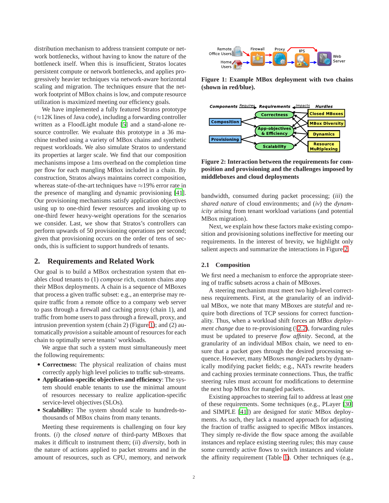distribution mechanism to address transient compute or network bottlenecks, without having to know the nature of the bottleneck itself. When this is insufficient, Stratos locates persistent compute or network bottlenecks, and applies progressively heavier techniques via network-aware horizontal scaling and migration. The techniques ensure that the network footprint of MBox chains is low, and compute resource utilization is maximized meeting our efficiency goals.

We have implemented a fully featured Stratos prototype  $(\approx)$ 12K lines of Java code), including a forwarding controller written as a FloodLight module [\[5\]](#page-12-14) and a stand-alone resource controller. We evaluate this prototype in a 36 machine testbed using a variety of MBox chains and synthetic request workloads. We also simulate Stratos to understand its properties at larger scale. We find that our composition mechanisms impose a 1ms overhead on the completion time per flow for each mangling MBox included in a chain. By construction, Stratos always maintains correct composition, whereas state-of-the-art techniques have  $\approx$ 19% error rate in the presence of mangling and dynamic provisioning [\[41](#page-13-3)]. Our provisioning mechanisms satisfy application objectives using up to one-third fewer resources and invoking up to one-third fewer heavy-weight operations for the scenarios we consider. Last, we show that Stratos's controllers can perform upwards of 50 provisioning operations per second; given that provisioning occurs on the order of tens of seconds, this is sufficient to support hundreds of tenants.

# <span id="page-1-0"></span>**2. Requirements and Related Work**

Our goal is to build a MBox orchestration system that enables cloud tenants to (1) *compose* rich, custom chains atop their MBox deployments. A chain is a sequence of MBoxes that process a given traffic subset: e.g., an enterprise may require traffic from a remote office to a company web server to pass through a firewall and caching proxy (chain 1), and traffic from home users to pass through a firewall, proxy, and intrusion prevention system (chain 2) (Figure [1\)](#page-1-1); and (2) automatically *provision* a suitable amount of resources for each chain to optimally serve tenants' workloads.

We argue that such a system must simultaneously meet the following requirements:

- **Correctness:** The physical realization of chains must correctly apply high level policies to traffic sub-streams.
- **Application-specific objectives and efficiency**: The system should enable tenants to use the minimal amount of resources necessary to realize application-specific service-level objectives (SLOs).
- **Scalability:** The system should scale to hundreds-tothousands of MBox chains from many tenants.

Meeting these requirements is challenging on four key fronts. (*i*) the *closed nature* of third-party MBoxes that makes it difficult to instrument them; (*ii*) *diversity*, both in the nature of actions applied to packet streams and in the amount of resources, such as CPU, memory, and network

<span id="page-1-1"></span>

**Figure 1: Example MBox deployment with two chains (shown in red/blue).**

<span id="page-1-2"></span>

**Figure 2: Interaction between the requirements for composition and provisioning and the challenges imposed by middleboxes and cloud deployments**

bandwidth, consumed during packet processing; (*iii*) the *shared nature* of cloud environments; and (*iv*) the *dynamicity* arising from tenant workload variations (and potential MBox migration).

Next, we explain how these factors make existing composition and provisioning solutions ineffective for meeting our requirements. In the interest of brevity, we highlight only salient aspects and summarize the interactions in Figure [2.](#page-1-2)

## <span id="page-1-3"></span>**2.1 Composition**

We first need a mechanism to enforce the appropriate steering of traffic subsets across a chain of MBoxes.

A steering mechanism must meet two high-level correctness requirements. First, at the granularity of an individual MBox, we note that many MBoxes are *stateful* and require both directions of TCP sessions for correct functionality. Thus, when a workload shift forces an *MBox deployment change* due to re-provisioning (§[2.2\)](#page-2-0), forwarding rules must be updated to preserve *flow affinity*. Second, at the granularity of an individual MBox chain, we need to ensure that a packet goes through the desired processing sequence. However, many MBoxes *mangle* packets by dynamically modifying packet fields; e.g., NATs rewrite headers and caching proxies terminate connections. Thus, the traffic steering rules must account for modifications to determine the next hop MBox for mangled packets.

Existing approaches to steering fail to address at least one of these requirements. Some techniques (e.g., PLayer [\[30\]](#page-12-8) and SIMPLE [\[41](#page-13-3)]) are designed for *static* MBox deployments. As such, they lack a nuanced approach for adjusting the fraction of traffic assigned to specific MBox instances. They simply re-divide the flow space among the available instances and replace existing steering rules; this may cause some currently active flows to switch instances and violate the affinity requirement (Table [1\)](#page-2-1). Other techniques (e.g.,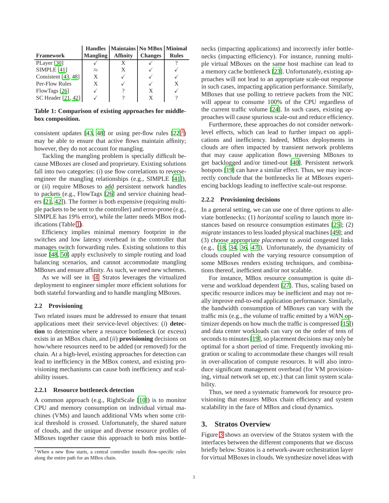<span id="page-2-1"></span>

|                       | <b>Handles</b>  | Maintains   No MBox   Minimal |                |              |
|-----------------------|-----------------|-------------------------------|----------------|--------------|
| <b>Framework</b>      | <b>Mangling</b> | <b>Affinity</b>               | <b>Changes</b> | <b>Rules</b> |
| PLayer [30]           |                 |                               |                |              |
| SIMPLE [41]           | $\approx$       |                               |                |              |
| Consistent $[43, 48]$ | X               |                               |                |              |
| Per-Flow Rules        | X               |                               |                |              |
| FlowTags [26]         |                 |                               | X              |              |
| SC Header [21, 42]    |                 |                               | X              |              |

# **Table 1: Comparison of existing approaches for middlebox composition.**

consistent updates [\[43,](#page-13-5) [48\]](#page-13-6) or using per-flow rules  $[22]$ <sup>[1](#page-2-2)</sup>) may be able to ensure that active flows maintain affinity; however, they do not account for mangling.

Tackling the mangling problem is specially difficult because MBoxes are closed and proprietary. Existing solutions fall into two categories: (*i*) use flow correlations to reverseengineer the mangling relationships (e.g., SIMPLE [\[41\]](#page-13-3)), or (*ii*) require MBoxes to add persistent network handles to packets (e.g., FlowTags [\[26](#page-12-10)] and service chaining headers [\[21](#page-12-15), [42](#page-13-2)]). The former is both expensive (requiring multiple packets to be sent to the controller) and error-prone (e.g., SIMPLE has 19% error), while the latter needs MBox modifications (Table [1\)](#page-2-1).

Efficiency implies minimal memory footprint in the switches and low latency overhead in the controller that manages switch forwarding rules. Existing solutions to this issue [\[48](#page-13-6), [50\]](#page-13-7) apply exclusively to simple routing and load balancing scenarios, and cannot accommodate mangling MBoxes and ensure affinity. As such, we need new schemes.

As we will see in §[4,](#page-3-0) Stratos leverages the virtualized deployment to engineer simpler more efficient solutions for both stateful forwarding and to handle mangling MBoxes.

## <span id="page-2-0"></span>**2.2 Provisioning**

Two related issues must be addressed to ensure that tenant applications meet their service-level objectives: (*i*) **detection** to determine where a resource bottleneck (or excess) exists in an MBox chain, and (*ii*) **provisioning** decisions on how/where resources need to be added (or removed) for the chain. At a high-level, existing approaches for detection can lead to inefficiency in the MBox context, and existing provisioning mechanisms can cause both inefficiency and scalability issues.

#### **2.2.1 Resource bottleneck detection**

A common approach (e.g., RightScale [\[10\]](#page-12-13)) is to monitor CPU and memory consumption on individual virtual machines (VMs) and launch additional VMs when some critical threshold is crossed. Unfortunately, the shared nature of clouds, and the unique and diverse resource profiles of MBoxes together cause this approach to both miss bottlenecks (impacting applications) and incorrectly infer bottlenecks (impacting efficiency). For instance, running multiple virtual MBoxes on the same host machine can lead to a memory cache bottleneck [\[23\]](#page-12-17). Unfortunately, existing approaches will not lead to an appropriate scale-out response in such cases, impacting application performance. Similarly, MBoxes that use polling to retrieve packets from the NIC will appear to consume 100% of the CPU regardless of the current traffic volume [\[24](#page-12-18)]. In such cases, existing approaches will cause spurious scale-out and reduce efficiency.

Furthermore, these approaches do not consider networklevel effects, which can lead to further impact on applications and inefficiency. Indeed, MBox deployments in clouds are often impacted by transient network problems that may cause application flows traversing MBoxes to get backlogged and/or timed-out [\[40](#page-13-8)]. Persistent network hotspots [\[19\]](#page-12-19) can have a similar effect. Thus, we may incorrectly conclude that the bottlenecks lie at MBoxes experiencing backlogs leading to ineffective scale-out response.

## **2.2.2 Provisioning decisions**

In a general setting, we can use one of three options to alleviate bottlenecks: (1) *horizontal scaling* to launch more instances based on resource consumption estimates [\[25\]](#page-12-20); (2) *migrate* instances to less loaded physical machines [\[49\]](#page-13-4); and (3) choose appropriate *placement* to avoid congested links (e.g., [\[18,](#page-12-21) [34](#page-12-22), [36,](#page-12-23) [47\]](#page-13-9)). Unfortunately, the dynamicity of clouds coupled with the varying resource consumption of some MBoxes renders existing techniques, and combinations thereof, inefficient and/or not scalable.

For instance, MBox resource consumption is quite diverse and workload dependent [\[27\]](#page-12-24). Thus, scaling based on specific resource indices may be inefficient and may not really improve end-to-end application performance. Similarly, the bandwidth consumption of MBoxes can vary with the traffic mix (e.g., the volume of traffic emitted by a WAN optimizer depends on how much the traffic is compressed [\[15\]](#page-12-25)) and data center workloads can vary on the order of tens of seconds to minutes [\[19](#page-12-19)], so placement decisions may only be optimal for a short period of time. Frequently invoking migration or scaling to accommodate these changes will result in over-allocation of compute resources. It will also introduce significant management overhead (for VM provisioning, virtual network set up, etc.) that can limit system scalability.

Thus, we need a systematic framework for resource provisioning that ensures MBox chain efficiency and system scalability in the face of MBox and cloud dynamics.

# **3. Stratos Overview**

Figure [3](#page-3-1) shows an overview of the Stratos system with the interfaces between the different components that we discuss briefly below. Stratos is a network-aware orchestration layer for virtual MBoxes in clouds. We synthesize novel ideas with

<span id="page-2-2"></span><sup>&</sup>lt;sup>1</sup>When a new flow starts, a central controller installs flow-specific rules along the entire path for an MBox chain.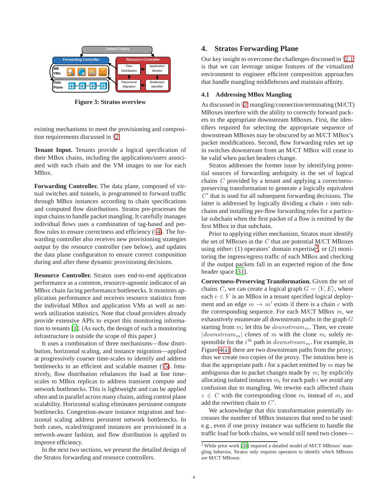<span id="page-3-1"></span>

**Figure 3: Stratos overview**

existing mechanisms to meet the provisioning and composition requirements discussed in §[2.](#page-1-0)

**Tenant Input.** Tenants provide a logical specification of their MBox chains, including the applications/users associated with each chain and the VM images to use for each MBox.

**Forwarding Controller.** The data plane, composed of virtual switches and tunnels, is programmed to forward traffic through MBox instances according to chain specifications and computed flow distributions. Stratos pre-processes the input chains to handle packet mangling. It carefully manages individual flows uses a combination of tag-based and perflow rules to ensure correctness and efficiency  $(\S 4)$  $(\S 4)$ . The forwarding controller also receives new provisioning strategies output by the resource controller (see below), and updates the data plane configuration to ensure correct composition during and after these dynamic provisioning decisions.

**Resource Controller.** Stratos uses end-to-end application performance as a common, resource-agnostic indicator of an MBox chain facing performance bottlenecks. It monitors application performance and receives resource statistics from the individual MBox and application VMs as well as network utilization statistics. Note that cloud providers already provide extensive APIs to export this monitoring information to tenants [\[1\]](#page-12-3). (As such, the design of such a monitoring infrastructure is outside the scope of this paper.)

It uses a combination of three mechanisms—flow distribution, horizontal scaling, and instance migration—applied at progressively coarser time-scales to identify and address bottlenecks in an efficient and scalable manner (§[5\)](#page-5-0). Intuitively, flow distribution rebalances the load at fine timescales to MBox replicas to address transient compute and network bottlenecks. This is lightweight and can be applied often and in parallel across many chains, aiding control plane scalability. Horizontal scaling eliminates persistent compute bottlenecks. Congestion-aware instance migration and horizontal scaling address persistent network bottlenecks. In both cases, scaled/migrated instances are provisioned in a network-aware fashion, and flow distribution is applied to improve efficiency.

In the next two sections, we present the detailed design of the Stratos forwarding and resource controllers.

# <span id="page-3-0"></span>**4. Stratos Forwarding Plane**

Our key insight to overcome the challenges discussed in §[2.1](#page-1-3) is that we can leverage unique features of the virtualized environment to engineer efficient composition approaches that handle mangling middleboxes and maintain affinity.

## <span id="page-3-3"></span>**4.1 Addressing MBox Mangling**

As discussed in §[2,](#page-1-0) mangling/connection terminating (M/CT) MBoxes interfere with the ability to correctly forward packets to the appropriate downstream MBoxes. First, the identifiers required for selecting the appropriate sequence of downstream MBoxes may be obscured by an M/CT MBox's packet modifications. Second, flow forwarding rules set up in switches downstream from an M/CT MBox will cease to be valid when packet headers change.

Stratos addresses the former issue by identifying potential sources of forwarding ambiguity in the set of logical chains C provided by a tenant and applying a correctnesspreserving transformation to generate a logically equivalent C' that is used for all subsequent forwarding decisions. The latter is addressed by logically dividing a chain c into subchains and installing per-flow forwarding rules for a particular subchain when the first packet of a flow is emitted by the first MBox in that subchain.

Prior to applying either mechanism, Stratos must identify the set of MBoxes in the  $C$  that are potential M/CT MBoxes using either:  $(1)$  operators' domain expertise<sup>[2](#page-3-2)</sup>, or  $(2)$  monitoring the ingress/egress traffic of each MBox and checking if the output packets fall in an expected region of the flow header space [\[31\]](#page-12-26).

**Correctness-Preserving Transformation.** Given the set of chains C, we can create a logical graph  $G = \langle V, E \rangle$ , where each  $v \in V$  is an MBox in a tenant specified logical deployment and an edge  $m \to m'$  exists if there is a chain c with the corresponding sequence. For each M/CT MBox  $m$ , we exhaustively enumerate all downstream paths in the graph G starting from  $m$ ; let this be  $downstream_m$ . Then, we create  $|downstream_m|$  *clones* of m with the clone  $m_i$  solely responsible for the  $i^{th}$  path in  $downstream_m$ . For example, in Figure [4\(a\),](#page-4-0) there are two downstream paths from the proxy; thus we create two copies of the proxy. The intuition here is that the appropriate path  $i$  for a packet emitted by  $m$  may be ambiguous due to packet changes made by  $m$ ; by explicitly allocating isolated instances  $m_i$  for each path i we avoid any confusion due to mangling. We rewrite each affected chain  $c \in C$  with the corresponding clone  $m_i$  instead of  $m$ , and add the rewritten chain to  $C'$ .

We acknowledge that this transformation potentially increases the number of MBox instances that need to be used: e.g., even if one proxy instance was sufficient to handle the traffic load for both chains, we would still need two clones—

<span id="page-3-2"></span><sup>2</sup> While prior work [\[30\]](#page-12-8) required a detailed model of M/CT MBoxes' mangling behavior, Stratos only requires operators to identify which MBoxes are M/CT MBoxes.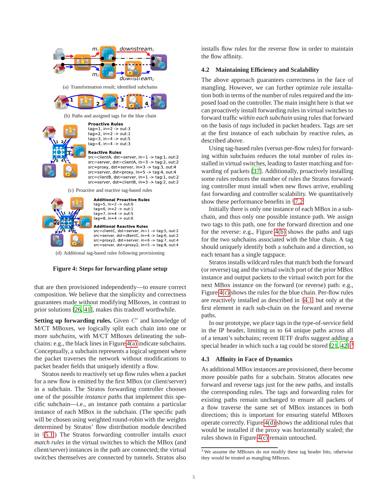<span id="page-4-0"></span>

<span id="page-4-1"></span>

(b) Paths and assigned tags for the blue chain

|        | $\frac{2}{\sqrt{2}}$ |
|--------|----------------------|
|        |                      |
| ケ<br>Ė |                      |
|        |                      |

**Proactive Rules**  $tag=1$ , in=2  $\rightarrow$  out:3  $tag=2$ , in=2 -> out:1  $tag=3$ , in=4 > out:5 tag=4, in=4  $\rightarrow$  out:3

#### **Reactive Rules**

src=clientA, dst=server, in=1 > tag:1, out:2 src=server, dst=clientA, in=3 > tag:2, out:2 src=proxy, dst=server, in=3 -> tag:3, out:4  $src = server$ , dst=proxy, in=5 > tag:4, out:4 src=clientB, dst=server, in=1 > tag:1, out:2 src=server, dst=clientB, in=3 > tag:2, out:2

(c) Proactive and reactive tag-based rules

<span id="page-4-2"></span>

**Additional Proactive Rules**  $tag=5$ , in=2 -> out:6  $tag=6$ , in=2 > out:1  $taa=7.$  in=4 -> out:5  $tag=8$ , in=4 > out:6

**Additional Reactive Rules** src=clientC, dst=server, in=1 -> tag:5, out:2

src=server, dst=clientC, in=6 -> tag:6, out:2  $src=proxv2$ , dst=server,  $in=6$  ->  $taa:7$ , out:4 src=server, dst=proxy2, in=5 > tag:8, out:4

<span id="page-4-4"></span>(d) Additional tag-based rules following provisioning

#### **Figure 4: Steps for forwarding plane setup**

that are then provisioned independently—to ensure correct composition. We believe that the simplicity and correctness guarantees made without modifying MBoxes, in contrast to prior solutions [\[26,](#page-12-10) [41\]](#page-13-3), makes this tradeoff worthwhile.

Setting up forwarding rules. Given C' and knowledge of M/CT MBoxes, we logically split each chain into one or more *subchains*, with M/CT MBoxes delineating the subchains: e.g., the black lines in Figure [4\(a\)](#page-4-0) indicate subchains. Conceptually, a subchain represents a logical segment where the packet traverses the network without modifications to packet header fields that uniquely identify a flow.

Stratos needs to reactively set up flow rules when a packet for a new flow is emitted by the first MBox (or client/server) in a subchain. The Stratos forwarding controller chooses one of the possible *instance paths* that implement this specific subchain—i.e., an instance path contains a particular instance of each MBox in the subchain. (The specific path will be chosen using weighted round-robin with the weights determined by Stratos' flow distribution module described in §[5.1.](#page-5-1)) The Stratos forwarding controller installs *exact match rules* in the virtual switches to which the MBox (and client/server) instances in the path are connected; the virtual switches themselves are connected by tunnels. Stratos also installs flow rules for the reverse flow in order to maintain the flow affinity.

# **4.2 Maintaining Efficiency and Scalability**

The above approach guarantees correctness in the face of mangling. However, we can further optimize rule installation both in terms of the number of rules required and the imposed load on the controller. The main insight here is that we can proactively install forwarding rules in virtual switches to forward traffic *within each subchain* using rules that forward on the basis of *tags* included in packet headers. Tags are set at the first instance of each subchain by reactive rules, as described above.

Using tag-based rules (versus per-flow rules) for forwarding within subchains reduces the total number of rules installed in virtual switches, leading to faster matching and forwarding of packets [\[37\]](#page-12-27). Additionally, proactively installing some rules reduces the number of rules the Stratos forwarding controller must install when new flows arrive, enabling fast forwarding and controller scalability. We quantitatively show these performance benefits in §[7.2.](#page-8-0)

Initially there is only one instance of each MBox in a subchain, and thus only one possible instance path. We assign two tags to this path, one for the forward direction and one for the reverse: e.g., Figure [4\(b\)](#page-4-1) shows the paths and tags for the two subchains associated with the blue chain. A tag should uniquely identify both a subchain and a direction, so each tenant has a single tagspace.

Stratos installs wildcard rules that match both the forward (or reverse) tag and the virtual switch port of the prior MBox instance and output packets to the virtual switch port for the next MBox instance on the forward (or reverse) path: e.g., Figure [4\(c\)](#page-4-2) shows the rules for the blue chain. Per-flow rules are reactively installed as described in §[4.1,](#page-3-3) but only at the first element in each sub-chain on the forward and reverse paths.

In our prototype, we place tags in the type-of-service field in the IP header, limiting us to 64 unique paths across all of a tenant's subchains; recent IETF drafts suggest adding a special header in which such a tag could be stored [\[21,](#page-12-15) [42](#page-13-2)].<sup>[3](#page-4-3)</sup>

# **4.3 Affinity in Face of Dynamics**

As additional MBox instances are provisioned, there become more possible paths for a subchain. Stratos allocates new forward and reverse tags just for the new paths, and installs the corresponding rules. The tags and forwarding rules for existing paths remain unchanged to ensure all packets of a flow traverse the same set of MBox instances in both directions; this is important for ensuring stateful MBoxes operate correctly. Figure [4\(d\)](#page-4-4) shows the additional rules that would be installed if the proxy was horizontally scaled; the rules shown in Figure [4\(c\)](#page-4-2) remain untouched.

<span id="page-4-3"></span> $3$  We assume the MBoxes do not modify these tag header bits, otherwise they would be treated as mangling MBoxes.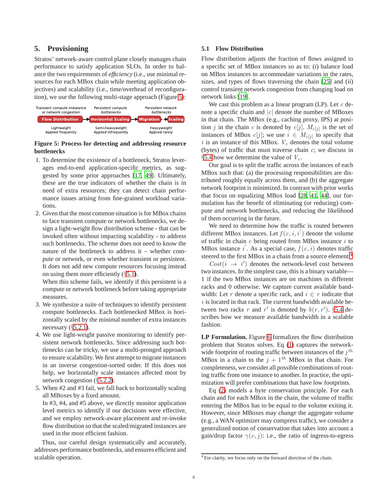# <span id="page-5-0"></span>**5. Provisioning**

Stratos' network-aware control plane closely manages chain performance to satisfy application SLOs. In order to balance the two requirements of *efficiency* (i.e., use minimal resources for each MBox chain while meeting application objectives) and scalability (i.e., time/overhead of reconfiguration), we use the following multi-stage approach (Figure [5\)](#page-5-2):

<span id="page-5-2"></span>

## **Figure 5: Process for detecting and addressing resource bottlenecks**

- 1. To determine the existence of a bottleneck, Stratos leverages end-to-end application-specific metrics, as suggested by some prior approaches [\[17,](#page-12-28) [49\]](#page-13-4). Ultimately, these are the true indicators of whether the chain is in need of extra resources; they can detect chain performance issues arising from fine-grained workload variations.
- 2. Given that the most common situation is for MBox chains to face transient compute or network bottlenecks, we design a light-weight flow distribution scheme - that can be invoked often without impacting scalability - to address such bottlenecks. The scheme does not need to know the nature of the bottleneck to address it – whether compute or network, or even whether transient or persistent. It does not add new compute resources focusing instead on using them more efficiently  $(\S 5.1)$  $(\S 5.1)$ .

When this scheme fails, we identify if this persistent is a compute or network bottleneck before taking appropriate measures.

- 3. We synthesize a suite of techniques to identify persistent compute bottlenecks. Each bottlenecked MBox is horizontally scaled by the minimal number of extra instances necessary  $(\S 5.2.1)$  $(\S 5.2.1)$ .
- 4. We use light-weight passive monitoring to identify persistent network bottlenecks. Since addressing such bottlenecks can be tricky, we use a multi-pronged approach to ensure scalability. We first attempt to migrate instances in an inverse congestion-sorted order. If this does not help, we horizontally scale instances affected most by network congestion (§[5.2.2\)](#page-6-1).
- 5. When #2 and #3 fail, we fall back to horizontally scaling all MBoxes by a fixed amount. In #3, #4, and #5 above, we directly monitor application level metrics to identify if our decisions were effective, and we employ network-aware placement and re-invoke flow distribution so that the scaled/migrated instances are used in the most efficient fashion.

Thus, our careful design systematically and accurately, addresses performance bottlenecks, and ensures efficient and scalable operation.

# <span id="page-5-1"></span>**5.1 Flow Distribution**

Flow distribution adjusts the fraction of flows assigned to a specific set of MBox instances so as to: (*i*) balance load on MBox instances to accommodate variations in the rates, sizes, and types of flows traversing the chain [\[25](#page-12-20)] and (*ii*) control transient network congestion from changing load on network links [\[19](#page-12-19)].

We cast this problem as a linear program  $(LP)$ . Let  $c$  denote a specific chain and  $|c|$  denote the number of MBoxes in that chain. The MBox (e.g., caching proxy, IPS) at position j in the chain c is denoted by  $c[j]$ .  $M_{c[j]}$  is the set of instances of MBox  $c[j]$ ; we use  $i \in M_{c[j]}$  to specify that i is an instance of this MBox.  $V_c$  denotes the total volume (bytes) of traffic that must traverse chain  $c$ ; we discuss in §[5.4](#page-7-0) how we determine the value of  $V_c$ .

Our goal is to split the traffic across the instances of each MBox such that: (a) the processing responsibilities are distributed roughly equally across them, and (b) the aggregate network footprint is minimized. In contrast with prior works that focus on equalizing MBox load [\[28,](#page-12-11) [41,](#page-13-3) [44](#page-13-10)], our formulation has the benefit of eliminating (or reducing) compute *and* network bottlenecks, and reducing the likelihood of them occurring in the future.

We need to determine how the traffic is routed between different MBox instances. Let  $f(c, i, i^{'})$  denote the volume of traffic in chain  $c$  being routed from MBox instance  $i$  to MBox instance  $i'$ . As a special case,  $f(c, i)$  denotes traffic steered to the first MBox in a chain from a source element.<sup>[4](#page-5-3)</sup>

 $Cost(i \rightarrow i')$  denotes the network-level cost between two instances. In the simplest case, this is a binary variable— 1 if the two MBox instances are on machines in different racks and 0 otherwise. We capture current available bandwidth: Let r denote a specific rack, and  $i \in r$  indicate that  $i$  is located in that rack. The current bandwidth available between two racks r and r' is denoted by  $b(r, r')$ . §[5.4](#page-7-0) describes how we measure available bandwidth in a scalable fashion.

**LP Formulation.** Figure [6](#page-6-2) formalizes the flow distribution problem that Stratos solves. Eq [\(1\)](#page-6-3) captures the networkwide footprint of routing traffic between instances of the  $j<sup>th</sup>$ MBox in a chain to the  $j + 1<sup>th</sup>$  MBox in that chain. For completeness, we consider all possible combinations of routing traffic from one instance to another. In practice, the optimization will prefer combinations that have low footprints.

Eq [\(2\)](#page-6-4) models a byte conservation principle. For each chain and for each MBox in the chain, the volume of traffic entering the MBox has to be equal to the volume exiting it. However, since MBoxes may change the aggregate volume (e.g., a WAN optimizer may compress traffic), we consider a generalized notion of conservation that takes into account a gain/drop factor  $\gamma(c, j)$ : i.e., the ratio of ingress-to-egress

<span id="page-5-3"></span><sup>4</sup> For clarity, we focus only on the forward direction of the chain.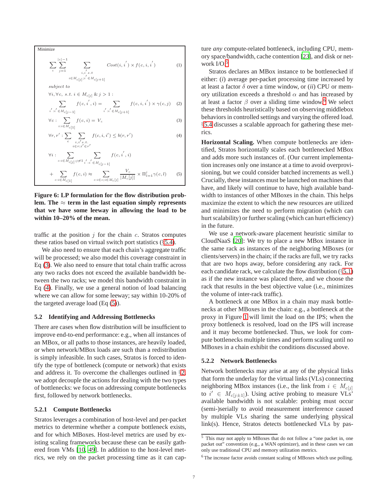<span id="page-6-2"></span>Minimize  
\n
$$
\sum_{c} \sum_{j=1}^{|c|-1} \sum_{\substack{i, i', s, t \\ i \in M_{c}[j] \text{ if } i' \in M_{c}[j+1]}} \text{Cost}(i, i') \times f(c, i, i') \qquad (1)
$$
\nsubject to  
\n
$$
\forall i, \forall c, s.t. i \in M_{c}[j] \& j > 1:
$$
\n
$$
\sum_{i': i' \in M_{c}[j-1]} f(c, i', i) = \sum_{i': i' \in M_{c}[j+1]} f(c, i, i') \times \gamma(c, j) \qquad (2)
$$
\n
$$
\forall c: \sum_{i:i \in M_{c}[1]} f(c, i) = V_c \qquad (3)
$$
\n
$$
\forall r, r': \sum_{c} \sum_{\substack{i, i', s, t \\ i \in r; i' \in r'}} f(c, i, i') \leq b(r, r') \qquad (4)
$$
\n
$$
\forall i: \sum_{c:i \in M_{c}[j] \text{ if } j \neq 1} \sum_{i': i' \in M_{c}[j-1]} f(c, i', i)
$$
\n
$$
\sum_{c:i \in M_{c}[j] \text{ if } j \neq 1} V_c \qquad \text{for } i' \qquad (5)
$$

$$
+\sum_{c:i\in M_c[1]}f(c,i)\approx\sum_{c:i\in c;i\in M_c[j]} \frac{V_c}{|M_c[j]|} \times \Pi_{l=1}^j \gamma(c,l) \qquad (5)
$$

**Figure 6: LP formulation for the flow distribution problem.** The  $\approx$  **term in the last equation simply represents that we have some leeway in allowing the load to be within 10–20% of the mean.**

traffic at the position  $j$  for the chain  $c$ . Stratos computes these ratios based on virtual switch port statistics (§[5.4\)](#page-7-0).

We also need to ensure that each chain's aggregate traffic will be processed; we also model this coverage constraint in Eq [\(3\)](#page-6-5). We also need to ensure that total chain traffic across any two racks does not exceed the available bandwidth between the two racks; we model this bandwidth constraint in Eq [\(4\)](#page-6-6). Finally, we use a general notion of load balancing where we can allow for some leeway; say within 10-20% of the targeted average load (Eq [\(5\)](#page-6-7)).

# **5.2 Identifying and Addressing Bottlenecks**

There are cases when flow distribution will be insufficient to improve end-to-end performance: e.g., when all instances of an MBox, or all paths to those instances, are heavily loaded, or when network/MBox loads are such than a redistribution is simply infeasible. In such cases, Stratos is forced to identify the type of bottleneck (compute or network) that exists and address it. To overcome the challenges outlined in §[2,](#page-1-0) we adopt decouple the actions for dealing with the two types of bottlenecks: we focus on addressing compute bottlenecks first, followed by network bottlenecks.

## <span id="page-6-0"></span>**5.2.1 Compute Bottlenecks**

Stratos leverages a combination of host-level and per-packet metrics to determine whether a compute bottleneck exists, and for which MBoxes. Host-level metrics are used by existing scaling frameworks because these can be easily gathered from VMs [\[10,](#page-12-13) [49\]](#page-13-4). In addition to the host-level metrics, we rely on the packet processing time as it can capture *any* compute-related bottleneck, including CPU, memory space/bandwidth, cache contention [\[23\]](#page-12-17), and disk or network I/O.[5](#page-6-8)

<span id="page-6-4"></span><span id="page-6-3"></span>Stratos declares an MBox instance to be bottlenecked if either: (*i*) average per-packet processing time increased by at least a factor  $\delta$  over a time window, or (*ii*) CPU or memory utilization exceeds a threshold  $\alpha$  and has increased by at least a factor  $\beta$  over a sliding time window.<sup>[6](#page-6-9)</sup> We select these thresholds heuristically based on observing middlebox behaviors in controlled settings and varying the offered load. §[5.4](#page-7-0) discusses a scalable approach for gathering these metrics.

<span id="page-6-7"></span><span id="page-6-6"></span><span id="page-6-5"></span>**Horizontal Scaling.** When compute bottlenecks are identified, Stratos horizontally scales each bottlenecked MBox and adds more such instances of. (Our current implementation increases only one instance at a time to avoid overprovisioning, but we could consider batched increments as well.) Crucially, these instances must be launched on machines that have, and likely will continue to have, high available bandwidth to instances of other MBoxes in the chain. This helps maximize the extent to which the new resources are utilized and minimizes the need to perform migration (which can hurt scalability) or further scaling (which can hurt efficiency) in the future.

We use a network-aware placement heuristic similar to CloudNaaS [\[20\]](#page-12-12): We try to place a new MBox instance in the same rack as instances of the neighboring MBoxes (or clients/servers) in the chain; if the racks are full, we try racks that are two hops away, before considering any rack. For each candidate rack, we calculate the flow distribution  $(\S 5.1)$  $(\S 5.1)$ as if the new instance was placed there, and we choose the rack that results in the best objective value (i.e., minimizes the volume of inter-rack traffic).

A bottleneck at one MBox in a chain may mask bottlenecks at other MBoxes in the chain: e.g., a bottleneck at the proxy in Figure [1](#page-1-1) will limit the load on the IPS; when the proxy bottleneck is resolved, load on the IPS will increase and it may become bottlenecked. Thus, we look for compute bottlenecks multiple times and perform scaling until no MBoxes in a chain exhibit the conditions discussed above.

#### <span id="page-6-1"></span>**5.2.2 Network Bottlenecks**

Network bottlenecks may arise at any of the physical links that form the underlay for the virtual links (VLs) connecting neighboring MBox instances (i.e., the link from  $i \in M_{c}[j]$ to  $i' \in M_{c[j\pm 1]}$ ). Using active probing to measure VLs<sup>3</sup> available bandwidth is not scalable: probing must occur (semi-)serially to avoid measurement interference caused by multiple VLs sharing the same underlying physical link(s). Hence, Stratos detects bottlenecked VLs by pas-

<span id="page-6-8"></span><sup>5</sup> This may not apply to MBoxes that do not follow a "one packet in, one packet out" convention (e.g., a WAN optimizer), and in these cases we can only use traditional CPU and memory utilization metrics.

<span id="page-6-9"></span><sup>6</sup> The increase factor avoids constant scaling of MBoxes which use polling.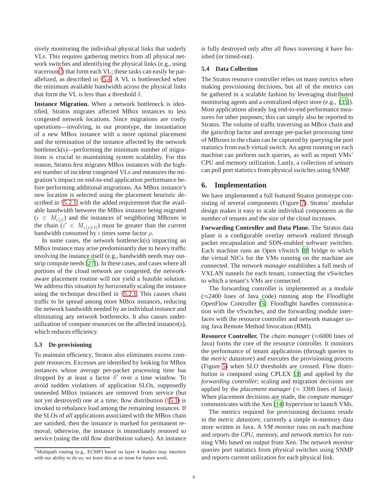sively monitoring the individual physical links that underly VLs. This requires gathering metrics from all physical network switches and identifying the physical links (e.g., using traceroute<sup>[7](#page-7-1)</sup>) that form each VL; these tasks can easily be parallelized, as described in §[5.4.](#page-7-0) A VL is bottlenecked when the minimum available bandwidth across the physical links that form the VL is less than a threshold  $\delta$ .

**Instance Migration.** When a network bottleneck is identified, Stratos migrates affected MBox instances to less congested network locations. Since migrations are costly operations—involving, in our prototype, the instantiation of a new MBox instance with a more optimal placement and the termination of the instance affected by the network bottleneck(s)—performing the minimum number of migrations is crucial to maintaining system scalability. For this reason, Stratos first migrates MBox instances with the highest number of incident congested VLs and measures the migration's impact on end-to-end application performance before performing additional migrations. An MBox instance's new location is selected using the placement heuristic de-scribed in §[5.2.1,](#page-6-0) with the added requirement that the available bandwidth between the MBox instance being migrated  $(i \in M_{c[j]})$  and the instances of neighboring MBoxes in the chain  $(i' \in M_{c[j\pm 1]})$  must be greater than the current bandwidth consumed by i times some factor  $\rho$ .

In some cases, the network bottleneck(s) impacting an MBox instance may arise predominantly due to heavy traffic involving the instance itself (e.g., bandwidth needs may outstrip compute needs [\[27\]](#page-12-24)). In these cases, and cases where all portions of the cloud network are congested, the networkaware placement routine will not yield a feasible solution. We address this situation by horizontally scaling the instance using the technique described in §[5.2.1.](#page-6-0) This causes chain traffic to be spread among more MBox instances, reducing the network bandwidth needed by an individual instance and eliminating any network bottlenecks. It also causes underutilization of compute resources on the affected instance(s), which reduces efficiency.

## **5.3 De-provisioning**

To maintain efficiency, Stratos also eliminates excess compute resources. Excesses are identified by looking for MBox instances whose average per-packet processing time has dropped by at least a factor  $\delta'$  over a time window. To avoid sudden violations of application SLOs, supposedly unneeded MBox instances are removed from service (but not yet destroyed) one at a time; flow distribution  $(\S 5.1)$  $(\S 5.1)$  is invoked to rebalance load among the remaining instances. If the SLOs of *all* applications associated with the MBox chain are satisfied, then the instance is marked for permanent removal; otherwise, the instance is immediately restored to service (using the old flow distribution values). An instance is fully destroyed only after all flows traversing it have finished (or timed-out).

## <span id="page-7-0"></span>**5.4 Data Collection**

The Stratos resource controller relies on many metrics when making provisioning decisions, but all of the metrics can be gathered in a scalable fashion by leveraging distributed monitoring agents and a centralized object store (e.g., [\[35\]](#page-12-29)). Most applications already log end-to-end performance measures for other purposes; this can simply also be reported to Stratos. The volume of traffic traversing an MBox chain and the gain/drop factor and average per-packet processing time of MBoxes in the chain can be captured by querying the port statistics from each virtual switch. An agent running on each machine can perform such queries, as well as report VMs' CPU and memory utilization. Lastly, a collection of sensors can poll port statistics from physical switches using SNMP.

# <span id="page-7-2"></span>**6. Implementation**

We have implemented a full featured Stratos prototype consisting of several components (Figure [7\)](#page-8-1). Stratos' modular design makes it easy to scale individual components as the number of tenants and the size of the cloud increases.

**Forwarding Controller and Data Plane.** The Stratos data plane is a configurable overlay network realized through packet encapsulation and SDN-enabled software switches. Each machine runs an Open vSwitch [\[8](#page-12-30)] bridge to which the virtual NICs for the VMs running on the machine are connected. The *network manager* establishes a full mesh of VXLAN tunnels for each tenant, connecting the vSwitches to which a tenant's VMs are connected.

The forwarding controller is implemented as a module  $(\approx 2400$  lines of Java code) running atop the Floodlight OpenFlow Controller [\[5](#page-12-14)]. Floodlight handles communication with the vSwitches, and the forwarding module interfaces with the resource controller and network manager using Java Remote Method Invocation (RMI).

**Resource Controller.** The *chain manager* (≈6000 lines of Java) forms the core of the resource controller. It monitors the performance of tenant applications (through queries to the *metric datastore*) and executes the provisioning process (Figure [5\)](#page-5-2) when SLO thresholds are crossed. Flow distribution is computed using CPLEX [\[3\]](#page-12-31) and applied by the *forwarding controller*; scaling and migration decisions are applied by the *placement manager* ( $\approx$  3300 lines of Java). When placement decisions are made, the *compute manager* communicates with the Xen [\[14\]](#page-12-32) hypervisor to launch VMs.

The metrics required for provisioning decisions reside in the *metric datastore*, currently a simple in-memory data store written in Java. A *VM monitor* runs on each machine and reports the CPU, memory, and network metrics for running VMs based on output from Xen. The *network monitor* queries port statistics from physical switches using SNMP and reports current utilization for each physical link.

<span id="page-7-1"></span><sup>7</sup> Multipath routing (e.g., ECMP) based on layer 4 headers may interfere with our ability to do so; we leave this as an issue for future work.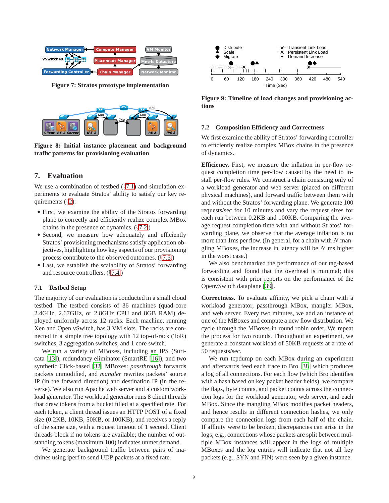<span id="page-8-1"></span>

**Figure 7: Stratos prototype implementation**

<span id="page-8-3"></span>

**Figure 8: Initial instance placement and background traffic patterns for provisioning evaluation**

# **7. Evaluation**

We use a combination of testbed  $(\S7.1)$  $(\S7.1)$  and simulation experiments to evaluate Stratos' ability to satisfy our key requirements (§[2\)](#page-1-0):

- First, we examine the ability of the Stratos forwarding plane to correctly and efficiently realize complex MBox chains in the presence of dynamics. (§[7.2.](#page-8-0))
- Second, we measure how adequately and efficiently Stratos' provisioning mechanisms satisfy application objectives, highlighting how key aspects of our provisioning process contribute to the observed outcomes. (§[7.3.](#page-9-0))
- Last, we establish the scalability of Stratos' forwarding and resource controllers. (§[7.4.](#page-11-0))

#### <span id="page-8-2"></span>**7.1 Testbed Setup**

The majority of our evaluation is conducted in a small cloud testbed. The testbed consists of 36 machines (quad-core 2.4GHz, 2.67GHz, or 2.8GHz CPU and 8GB RAM) deployed uniformly across 12 racks. Each machine, running Xen and Open vSwitch, has 3 VM slots. The racks are connected in a simple tree topology with 12 top-of-rack (ToR) switches, 3 aggregation switches, and 1 core switch.

We run a variety of MBoxes, including an IPS (Suricata [\[13\]](#page-12-2)), redundancy eliminator (SmartRE [\[16\]](#page-12-33)), and two synthetic Click-based [\[32](#page-12-34)] MBoxes: *passthrough* forwards packets unmodified, and *mangler* rewrites packets' source IP (in the forward direction) and destination IP (in the reverse). We also run Apache web server and a custom workload generator. The workload generator runs 8 client threads that draw tokens from a bucket filled at a specified rate. For each token, a client thread issues an HTTP POST of a fixed size (0.2KB, 10KB, 50KB, or 100KB), and receives a reply of the same size, with a request timeout of 1 second. Client threads block if no tokens are available; the number of outstanding tokens (maximum 100) indicates unmet demand.

We generate background traffic between pairs of machines using iperf to send UDP packets at a fixed rate.

<span id="page-8-4"></span>

**Figure 9: Timeline of load changes and provisioning actions**

#### <span id="page-8-0"></span>**7.2 Composition Efficiency and Correctness**

We first examine the ability of Stratos' forwarding controller to efficiently realize complex MBox chains in the presence of dynamics.

**Efficiency.** First, we measure the inflation in per-flow request completion time per-flow caused by the need to install per-flow rules. We construct a chain consisting only of a workload generator and web server (placed on different physical machines), and forward traffic between them with and without the Stratos' forwarding plane. We generate 100 requests/sec for 10 minutes and vary the request sizes for each run between 0.2KB and 100KB. Comparing the average request completion time with and without Stratos' forwarding plane, we observe that the average inflation is no more than 1 ms per flow. (In general, for a chain with  $N$  mangling MBoxes, the increase in latency will be  $N$  ms higher in the worst case.)

We also benchmarked the performance of our tag-based forwarding and found that the overhead is minimal; this is consistent with prior reports on the performance of the OpenvSwitch dataplane [\[39](#page-13-11)].

**Correctness.** To evaluate affinity, we pick a chain with a workload generator, passthrough MBox, mangler MBox, and web server. Every two minutes, we add an instance of one of the MBoxes and compute a new flow distribution. We cycle through the MBoxes in round robin order. We repeat the process for two rounds. Throughout an experiment, we generate a constant workload of 50KB requests at a rate of 50 requests/sec.

We run tcpdump on each MBox during an experiment and afterwards feed each trace to Bro [\[38](#page-12-35)] which produces a log of all connections. For each flow (which Bro identifies with a hash based on key packet header fields), we compare the flags, byte counts, and packet counts across the connection logs for the workload generator, web server, and each MBox. Since the mangling MBox modifies packet headers, and hence results in different connection hashes, we only compare the connection logs from each half of the chain. If affinity were to be broken, discrepancies can arise in the logs; e.g., connections whose packets are split between multiple MBox instances will appear in the logs of multiple MBoxes and the log entries will indicate that not all key packets (e.g., SYN and FIN) were seen by a given instance.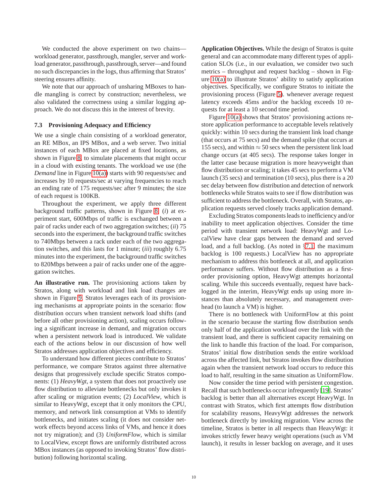We conducted the above experiment on two chains workload generator, passthrough, mangler, server and workload generator, passthrough, passthrough, server—and found no such discrepancies in the logs, thus affirming that Stratos' steering ensures affinity.

We note that our approach of unsharing MBoxes to handle mangling is correct by construction; nevertheless, we also validated the correctness using a similar logging approach. We do not discuss this in the interest of brevity.

#### <span id="page-9-0"></span>**7.3 Provisioning Adequacy and Efficiency**

We use a single chain consisting of a workload generator, an RE MBox, an IPS MBox, and a web server. Two initial instances of each MBox are placed at fixed locations, as shown in Figure [8,](#page-8-3) to simulate placements that might occur in a cloud with existing tenants. The workload we use (the *Demand* line in Figure [10\(a\)\)](#page-10-0) starts with 90 requests/sec and increases by 10 requests/sec at varying frequencies to reach an ending rate of 175 requests/sec after 9 minutes; the size of each request is 100KB.

Throughout the experiment, we apply three different background traffic patterns, shown in Figure [8:](#page-8-3) (*i*) at experiment start, 600Mbps of traffic is exchanged between a pair of racks under each of two aggregation switches; (*ii*) 75 seconds into the experiment, the background traffic switches to 740Mbps between a rack under each of the two aggregation switches, and this lasts for 1 minute; (*iii*) roughly 6.75 minutes into the experiment, the background traffic switches to 820Mbps between a pair of racks under one of the aggregation switches.

**An illustrative run.** The provisioning actions taken by Stratos, along with workload and link load changes are shown in Figure [9.](#page-8-4) Stratos leverages each of its provisioning mechanisms at appropriate points in the scenario: flow distribution occurs when transient network load shifts (and before all other provisioning action), scaling occurs following a significant increase in demand, and migration occurs when a persistent network load is introduced. We validate each of the actions below in our discussion of how well Stratos addresses application objectives and efficiency.

To understand how different pieces contribute to Stratos' performance, we compare Stratos against three alternative designs that progressively exclude specific Stratos components: (1) *HeavyWgt*, a system that does not proactively use flow distribution to alleviate bottlenecks but only invokes it after scaling or migration events; (2) *LocalView*, which is similar to HeavyWgt, except that it only monitors the CPU, memory, and network link consumption at VMs to identify bottlenecks, and initiates scaling (it does not consider network effects beyond access links of VMs, and hence it does not try migration); and (3) *UniformFlow*, which is similar to LocalView, except flows are uniformly distributed across MBox instances (as opposed to invoking Stratos' flow distribution) following horizontal scaling.

**Application Objectives.** While the design of Stratos is quite general and can accommodate many different types of application SLOs (i.e., in our evaluation, we consider two such metrics – throughput and request backlog – shown in Figure [10\(a\)](#page-10-0) to illustrate Stratos' ability to satisfy application objectives. Specifically, we configure Stratos to initiate the provisioning process (Figure [5\)](#page-5-2). whenever average request latency exceeds 45ms and/or the backlog exceeds 10 requests for at least a 10 second time period.

Figure [10\(a\)](#page-10-0) shows that Stratos' provisioning actions restore application performance to acceptable levels relatively quickly: within 10 secs during the transient link load change (that occurs at 75 secs) and the demand spike (that occurs at 155 secs), and within  $\approx$  50 secs when the persistent link load change occurs (at 405 secs). The response takes longer in the latter case because migration is more heavyweight than flow distribution or scaling; it takes 45 secs to perform a VM launch (35 secs) and termination (10 secs), plus there is a 20 sec delay between flow distribution and detection of network bottlenecks while Stratos waits to see if flow distribution was sufficient to address the bottleneck. Overall, with Stratos, application requests served closely tracks application demand.

Excluding Stratos components leads to inefficiency and/or inability to meet application objectives. Consider the time period with transient network load: HeavyWgt and LocalView have clear gaps between the demand and served load, and a full backlog. (As noted in §[7.1,](#page-8-2) the maximum backlog is 100 requests.) LocalView has no appropriate mechanism to address this bottleneck at all, and application performance suffers. Without flow distribution as a firstorder provisioning option, HeavyWgt attempts horizontal scaling. While this succeeds eventually, request have backlogged in the interim, HeavyWgt ends up using more instances than absolutely necessary, and management overhead (to launch a VM) is higher.

There is no bottleneck with UniformFlow at this point in the scenario because the starting flow distribution sends only half of the application workload over the link with the transient load, and there is sufficient capacity remaining on the link to handle this fraction of the load. For comparison, Stratos' initial flow distribution sends the entire workload across the affected link, but Stratos invokes flow distribution again when the transient network load occurs to reduce this load to half, resulting in the same situation as UniformFlow.

Now consider the time period with persistent congestion. Recall that such bottlenecks occur infrequently [\[19](#page-12-19)]. Stratos' backlog is better than all alternatives except HeavyWgt. In contrast with Stratos, which first attempts flow distribution for scalability reasons, HeavyWgt addresses the network bottleneck directly by invoking migration. View across the timeline, Stratos is better in all respects than HeavyWgt: it invokes strictly fewer heavy weight operations (such as VM launch), it results in lesser backlog on average, and it uses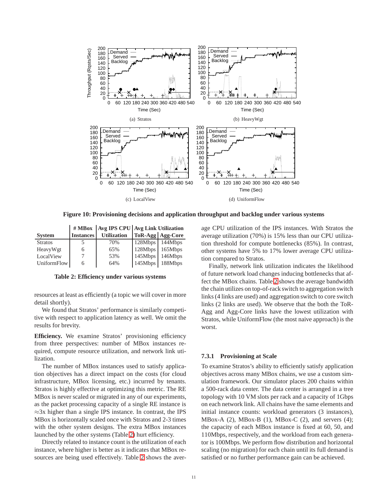<span id="page-10-0"></span>

**Figure 10: Provisioning decisions and application throughput and backlog under various systems**

<span id="page-10-1"></span>

|                 | # MBox           |                    | <b>Avg IPS CPU</b> Avg Link Utilization |                    |
|-----------------|------------------|--------------------|-----------------------------------------|--------------------|
| <b>System</b>   | <b>Instances</b> | <b>Utilization</b> |                                         | ToR-Agg   Agg-Core |
| <b>Stratos</b>  |                  | 70%                | 128Mbps                                 | 144Mbps            |
| <b>HeavyWgt</b> | 6                | 65%                | 128Mbps                                 | 165Mbps            |
| LocalView       |                  | 53%                | 145Mbps                                 | 146Mbps            |
| UniformFlow     | 6                | 64%                | 145Mbps 188Mbps                         |                    |

**Table 2: Efficiency under various systems**

resources at least as efficiently (a topic we will cover in more detail shortly).

We found that Stratos' performance is similarly competitive with respect to application latency as well. We omit the results for brevity.

**Efficiency.** We examine Stratos' provisioning efficiency from three perspectives: number of MBox instances required, compute resource utilization, and network link utilization.

The number of MBox instances used to satisfy application objectives has a direct impact on the costs (for cloud infrastructure, MBox licensing, etc.) incurred by tenants. Stratos is highly effective at optimizing this metric. The RE MBox is never scaled or migrated in any of our experiments, as the packet processing capacity of a single RE instance is  $\approx$ 3x higher than a single IPS instance. In contrast, the IPS MBox is horizontally scaled once with Stratos and 2-3 times with the other system designs. The extra MBox instances launched by the other systems (Table [2\)](#page-10-1) hurt efficiency.

Directly related to instance count is the utilization of each instance, where higher is better as it indicates that MBox resources are being used effectively. Table [2](#page-10-1) shows the average CPU utilization of the IPS instances. With Stratos the average utilization (70%) is 15% less than our CPU utilization threshold for compute bottlenecks (85%). In contrast, other systems have 5% to 17% lower average CPU utilization compared to Stratos.

Finally, network link utilization indicates the likelihood of future network load changes inducing bottlenecks that affect the MBox chains. Table [2](#page-10-1) shows the average bandwidth the chain utilizes on top-of-rack switch to aggregation switch links (4 links are used) and aggregation switch to core switch links (2 links are used). We observe that the both the ToR-Agg and Agg-Core links have the lowest utilization with Stratos, while UniformFlow (the most naive approach) is the worst.

#### **7.3.1 Provisioning at Scale**

To examine Stratos's ability to efficiently satisfy application objectives across many MBox chains, we use a custom simulation framework. Our simulator places 200 chains within a 500-rack data center. The data center is arranged in a tree topology with 10 VM slots per rack and a capacity of 1Gbps on each network link. All chains have the same elements and initial instance counts: workload generators (3 instances), MBox-A (2), MBox-B (1), MBox-C (2), and servers (4); the capacity of each MBox instance is fixed at 60, 50, and 110Mbps, respectively, and the workload from each generator is 100Mbps. We perform flow distribution and horizontal scaling (no migration) for each chain until its full demand is satisfied or no further performance gain can be achieved.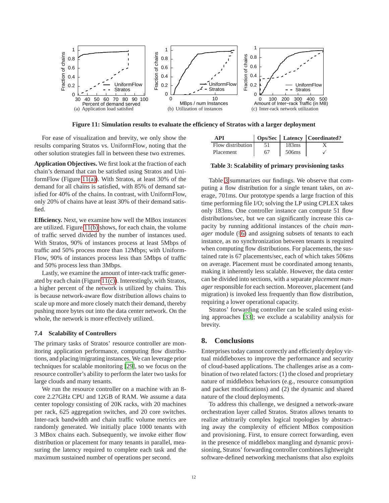<span id="page-11-2"></span><span id="page-11-1"></span>

**Figure 11: Simulation results to evaluate the efficiency of Stratos with a larger deployment**

For ease of visualization and brevity, we only show the results comparing Stratos vs. UniformFlow, noting that the other solution strategies fall in between these two extremes.

**Application Objectives.** We first look at the fraction of each chain's demand that can be satisfied using Stratos and UniformFlow (Figure [11\(a\)\)](#page-11-1). With Stratos, at least 30% of the demand for all chains is satisfied, with 85% of demand satisfied for 40% of the chains. In contrast, with UniformFlow, only 20% of chains have at least 30% of their demand satisfied.

**Efficiency.** Next, we examine how well the MBox instances are utilized. Figure [11\(b\)](#page-11-2) shows, for each chain, the volume of traffic served divided by the number of instances used. With Stratos, 90% of instances process at least 5Mbps of traffic and 50% process more than 12Mbps; with Uniform-Flow, 90% of instances process less than 5Mbps of traffic and 50% process less than 3Mbps.

Lastly, we examine the amount of inter-rack traffic generated by each chain (Figure [11\(c\)\)](#page-11-3). Interestingly, with Stratos, a higher percent of the network is utilized by chains. This is because network-aware flow distribution allows chains to scale up more and more closely match their demand, thereby pushing more bytes out into the data center network. On the whole, the network is more effectively utilized.

## <span id="page-11-0"></span>**7.4 Scalability of Controllers**

The primary tasks of Stratos' resource controller are monitoring application performance, computing flow distributions, and placing/migrating instances. We can leverage prior techniques for scalable monitoring [\[29](#page-12-36)], so we focus on the resource controller's ability to perform the later two tasks for large clouds and many tenants.

We run the resource controller on a machine with an 8core 2.27GHz CPU and 12GB of RAM. We assume a data center topology consisting of 20K racks, with 20 machines per rack, 625 aggregation switches, and 20 core switches. Inter-rack bandwidth and chain traffic volume metrics are randomly generated. We initially place 1000 tenants with 3 MBox chains each. Subsequently, we invoke either flow distribution or placement for many tenants in parallel, measuring the latency required to complete each task and the maximum sustained number of operations per second.

<span id="page-11-4"></span><span id="page-11-3"></span>

| API                 |     |       | <b>Ops/Sec</b>   Latency   Coordinated? |
|---------------------|-----|-------|-----------------------------------------|
| Flow distribution I | -51 | 183ms |                                         |
| Placement           | 67  | 506ms |                                         |

**Table 3: Scalability of primary provisioning tasks**

Table [3](#page-11-4) summarizes our findings. We observe that computing a flow distribution for a single tenant takes, on average, 701ms. Our prototype spends a large fraction of this time performing file I/O; solving the LP using CPLEX takes only 183ms. One controller instance can compute 51 flow distributions/sec, but we can significantly increase this capacity by running additional instances of the *chain manager* module (§[6\)](#page-7-2) and assigning subsets of tenants to each instance, as no synchronization between tenants is required when computing flow distributions. For placements, the sustained rate is 67 placements/sec, each of which takes 506ms on average. Placement must be coordinated among tenants, making it inherently less scalable. However, the data center can be divided into sections, with a separate *placement manager* responsible for each section. Moreover, placement (and migration) is invoked less frequently than flow distribution, requiring a lower operational capacity.

Stratos' forwarding controller can be scaled using existing approaches [\[33\]](#page-12-37); we exclude a scalability analysis for brevity.

# **8. Conclusions**

Enterprises today cannot correctly and efficiently deploy virtual middleboxes to improve the performance and security of cloud-based applications. The challenges arise as a combination of two related factors: (1) the closed and proprietary nature of middlebox behaviors (e.g., resource consumption and packet modifications) and (2) the dynamic and shared nature of the cloud deployments.

To address this challenge, we designed a network-aware orchestration layer called Stratos. Stratos allows tenants to realize arbitrarily complex logical topologies by abstracting away the complexity of efficient MBox composition and provisioning. First, to ensure correct forwarding, even in the presence of middlebox mangling and dynamic provisioning, Stratos' forwarding controller combines lightweight software-defined networking mechanisms that also exploits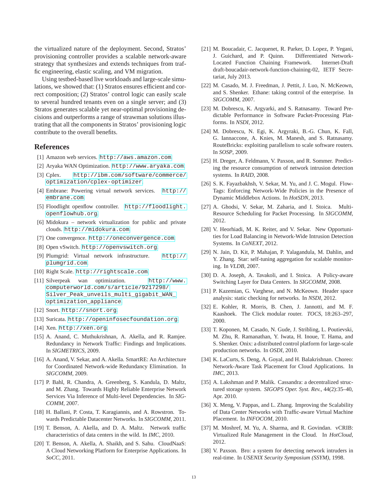the virtualized nature of the deployment. Second, Stratos' provisioning controller provides a scalable network-aware strategy that synthesizes and extends techniques from traffic engineering, elastic scaling, and VM migration.

Using testbed-based live workloads and large-scale simulations, we showed that: (1) Stratos ensures efficient and correct composition; (2) Stratos' control logic can easily scale to several hundred tenants even on a single server; and (3) Stratos generates scalable yet near-optimal provisioning decisions and outperforms a range of strawman solutions illustrating that all the components in Stratos' provisioning logic contribute to the overall benefits.

# **References**

- <span id="page-12-3"></span>[1] Amazon web services. <http://aws.amazon.com>.
- <span id="page-12-0"></span>[2] Aryaka WAN Optimization. <http://www.aryaka.com>.
- <span id="page-12-31"></span>[3] Cplex. [http://ibm.com/software/commerce/](http://ibm.com/software/commerce/optimization/cplex-optimizer) [optimization/cplex-optimizer](http://ibm.com/software/commerce/optimization/cplex-optimizer).
- <span id="page-12-4"></span>[4] Embrane: Powering virtual network services. [http://](http://embrane.com) [embrane.com](http://embrane.com).
- <span id="page-12-14"></span>[5] Floodlight openflow controller. [http://floodlight.](http://floodlight.openflowhub.org) [openflowhub.org](http://floodlight.openflowhub.org).
- <span id="page-12-5"></span>[6] Midokura – network virtualization for public and private clouds. <http://midokura.com>.
- <span id="page-12-6"></span>[7] One convergence. <http://oneconvergence.com>.
- <span id="page-12-30"></span>[8] Open vSwitch. <http://openvswitch.org>.
- <span id="page-12-7"></span>[9] Plumgrid: Virtual network infrastructure. [http://](http://plumgrid.com) [plumgrid.com](http://plumgrid.com).
- <span id="page-12-13"></span>[10] Right Scale. <http://rightscale.com>.
- <span id="page-12-1"></span>[11] Silverpeak wan optimization. [http://www.](http://www.computerworld.com/s/article/9217298/Silver_Peak_unveils_multi_gigabit_WAN_optimization_appliance) [computerworld.com/s/article/9217298/](http://www.computerworld.com/s/article/9217298/Silver_Peak_unveils_multi_gigabit_WAN_optimization_appliance) [Silver\\_Peak\\_unveils\\_multi\\_gigabit\\_WAN\\_](http://www.computerworld.com/s/article/9217298/Silver_Peak_unveils_multi_gigabit_WAN_optimization_appliance) [optimization\\_appliance](http://www.computerworld.com/s/article/9217298/Silver_Peak_unveils_multi_gigabit_WAN_optimization_appliance).
- <span id="page-12-9"></span>[12] Snort. <http://snort.org>.
- <span id="page-12-2"></span>[13] Suricata. <http://openinfosecfoundation.org>.
- <span id="page-12-32"></span>[14] Xen. <http://xen.org>.
- <span id="page-12-25"></span>[15] A. Anand, C. Muthukrishnan, A. Akella, and R. Ramjee. Redundancy in Network Traffic: Findings and Implications. In *SIGMETRICS*, 2009.
- <span id="page-12-33"></span>[16] A. Anand, V. Sekar, and A. Akella. SmartRE: An Architecture for Coordinated Network-wide Redundancy Elimination. In *SIGCOMM*, 2009.
- <span id="page-12-28"></span>[17] P. Bahl, R. Chandra, A. Greenberg, S. Kandula, D. Maltz, and M. Zhang. Towards Highly Reliable Enterprise Network Services Via Inference of Multi-level Dependencies. In *SIG-COMM*, 2007.
- <span id="page-12-21"></span>[18] H. Ballani, P. Costa, T. Karagiannis, and A. Rowstron. Towards Predictable Datacenter Networks. In *SIGCOMM*, 2011.
- <span id="page-12-19"></span>[19] T. Benson, A. Akella, and D. A. Maltz. Network traffic characteristics of data centers in the wild. In *IMC*, 2010.
- <span id="page-12-12"></span>[20] T. Benson, A. Akella, A. Shaikh, and S. Sahu. CloudNaaS: A Cloud Networking Platform for Enterprise Applications. In *SoCC*, 2011.
- <span id="page-12-15"></span>[21] M. Boucadair, C. Jacquenet, R. Parker, D. Lopez, P. Yegani, J. Guichard, and P. Quinn. Differentiated Network-Located Function Chaining Framework. Internet-Draft draft-boucadair-network-function-chaining-02, IETF Secretariat, July 2013.
- <span id="page-12-16"></span>[22] M. Casado, M. J. Freedman, J. Pettit, J. Luo, N. McKeown, and S. Shenker. Ethane: taking control of the enterprise. In *SIGCOMM*, 2007.
- <span id="page-12-17"></span>[23] M. Dobrescu, K. Argyarki, and S. Ratnasamy. Toward Predictable Performance in Software Packet-Processing Platforms. In *NSDI*, 2012.
- <span id="page-12-18"></span>[24] M. Dobrescu, N. Egi, K. Argyraki, B.-G. Chun, K. Fall, G. Iannaccone, A. Knies, M. Manesh, and S. Ratnasamy. RouteBricks: exploiting parallelism to scale software routers. In *SOSP*, 2009.
- <span id="page-12-20"></span>[25] H. Dreger, A. Feldmann, V. Paxson, and R. Sommer. Predicting the resource consumption of network intrusion detection systems. In *RAID*, 2008.
- <span id="page-12-10"></span>[26] S. K. Fayazbakhsh, V. Sekar, M. Yu, and J. C. Mogul. Flow-Tags: Enforcing Network-Wide Policies in the Presence of Dynamic Middlebox Actions. In *HotSDN*, 2013.
- <span id="page-12-24"></span>[27] A. Ghodsi, V. Sekar, M. Zaharia, and I. Stoica. Multi-Resource Scheduling for Packet Processing. In *SIGCOMM*, 2012.
- <span id="page-12-11"></span>[28] V. Heorhiadi, M. K. Reiter, and V. Sekar. New Opportunities for Load Balancing in Network-Wide Intrusion Detection Systems. In *CoNEXT*, 2012.
- <span id="page-12-36"></span>[29] N. Jain, D. Kit, P. Mahajan, P. Yalagandula, M. Dahlin, and Y. Zhang. Star: self-tuning aggregation for scalable monitoring. In *VLDB*, 2007.
- <span id="page-12-8"></span>[30] D. A. Joseph, A. Tavakoli, and I. Stoica. A Policy-aware Switching Layer for Data Centers. In *SIGCOMM*, 2008.
- <span id="page-12-26"></span>[31] P. Kazemian, G. Varghese, and N. McKeown. Header space analysis: static checking for networks. In *NSDI*, 2012.
- <span id="page-12-34"></span>[32] E. Kohler, R. Morris, B. Chen, J. Jannotti, and M. F. Kaashoek. The Click modular router. *TOCS*, 18:263–297, 2000.
- <span id="page-12-37"></span>[33] T. Koponen, M. Casado, N. Gude, J. Stribling, L. Poutievski, M. Zhu, R. Ramanathan, Y. Iwata, H. Inoue, T. Hama, and S. Shenker. Onix: a distributed control platform for large-scale production networks. In *OSDI*, 2010.
- <span id="page-12-22"></span>[34] K. LaCurts, S. Deng, A. Goyal, and H. Balakrishnan. Choreo: Network-Aware Task Placement for Cloud Applications. In *IMC*, 2013.
- <span id="page-12-29"></span>[35] A. Lakshman and P. Malik. Cassandra: a decentralized structured storage system. *SIGOPS Oper. Syst. Rev.*, 44(2):35–40, Apr. 2010.
- <span id="page-12-23"></span>[36] X. Meng, V. Pappas, and L. Zhang. Improving the Scalability of Data Center Networks with Traffic-aware Virtual Machine Placement. In *INFOCOM*, 2010.
- <span id="page-12-27"></span>[37] M. Moshref, M. Yu, A. Sharma, and R. Govindan. vCRIB: Virtualized Rule Management in the Cloud. In *HotCloud*, 2012.
- <span id="page-12-35"></span>[38] V. Paxson. Bro: a system for detecting network intruders in real-time. In *USENIX Security Symposium (SSYM)*, 1998.